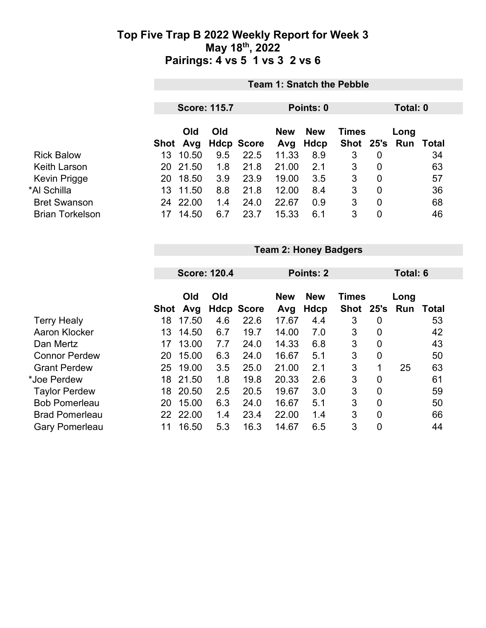|                        | <b>Team 1: Snatch the Pebble</b> |                     |     |                   |            |            |              |          |               |       |
|------------------------|----------------------------------|---------------------|-----|-------------------|------------|------------|--------------|----------|---------------|-------|
|                        |                                  | <b>Score: 115.7</b> |     |                   |            | Points: 0  |              | Total: 0 |               |       |
|                        |                                  | Old                 | Old |                   | <b>New</b> | <b>New</b> | <b>Times</b> |          | Long          |       |
|                        | Shot                             | Avg                 |     | <b>Hdcp Score</b> | Avg        | Hdcp       |              |          | Shot 25's Run | Total |
| <b>Rick Balow</b>      | 13                               | 10.50               | 9.5 | 22.5              | 11.33      | 8.9        | 3            | 0        |               | 34    |
| <b>Keith Larson</b>    | 20                               | 21.50               | 1.8 | 21.8              | 21.00      | 2.1        | 3            | 0        |               | 63    |
| <b>Kevin Prigge</b>    | 20                               | 18.50               | 3.9 | 23.9              | 19.00      | 3.5        | 3            | 0        |               | 57    |
| *Al Schilla            | 13                               | 11.50               | 8.8 | 21.8              | 12.00      | 8.4        | 3            | 0        |               | 36    |
| <b>Bret Swanson</b>    | 24                               | 22.00               | 1.4 | 24.0              | 22.67      | 0.9        | 3            | 0        |               | 68    |
| <b>Brian Torkelson</b> | 17                               | 14.50               | 6.7 | 23.7              | 15.33      | 6.1        | 3            | 0        |               | 46    |

|                       |      | <b>Team 2: Honey Badgers</b> |     |                   |            |            |              |                  |      |       |  |
|-----------------------|------|------------------------------|-----|-------------------|------------|------------|--------------|------------------|------|-------|--|
|                       |      |                              |     |                   |            |            |              |                  |      |       |  |
|                       |      | <b>Score: 120.4</b>          |     |                   |            | Points: 2  |              | Total: 6         |      |       |  |
|                       |      |                              |     |                   |            |            |              |                  |      |       |  |
|                       |      | Old                          | Old |                   | <b>New</b> | <b>New</b> | <b>Times</b> |                  | Long |       |  |
|                       | Shot | Avg                          |     | <b>Hdcp Score</b> | Avg        | Hdcp       | <b>Shot</b>  | 25's             | Run  | Total |  |
| <b>Terry Healy</b>    | 18   | 17.50                        | 4.6 | 22.6              | 17.67      | 4.4        | 3            | 0                |      | 53    |  |
| <b>Aaron Klocker</b>  | 13   | 14.50                        | 6.7 | 19.7              | 14.00      | 7.0        | 3            | $\overline{0}$   |      | 42    |  |
| Dan Mertz             | 17   | 13.00                        | 7.7 | 24.0              | 14.33      | 6.8        | 3            | 0                |      | 43    |  |
| <b>Connor Perdew</b>  | 20   | 15.00                        | 6.3 | 24.0              | 16.67      | 5.1        | 3            | $\mathbf 0$      |      | 50    |  |
| <b>Grant Perdew</b>   | 25   | 19.00                        | 3.5 | 25.0              | 21.00      | 2.1        | 3            | 1                | 25   | 63    |  |
| *Joe Perdew           | 18   | 21.50                        | 1.8 | 19.8              | 20.33      | 2.6        | 3            | $\overline{0}$   |      | 61    |  |
| <b>Taylor Perdew</b>  | 18   | 20.50                        | 2.5 | 20.5              | 19.67      | 3.0        | 3            | $\boldsymbol{0}$ |      | 59    |  |
| <b>Bob Pomerleau</b>  | 20   | 15.00                        | 6.3 | 24.0              | 16.67      | 5.1        | 3            | 0                |      | 50    |  |
| <b>Brad Pomerleau</b> | 22   | 22.00                        | 1.4 | 23.4              | 22.00      | 1.4        | 3            | $\mathbf 0$      |      | 66    |  |
| <b>Gary Pomerleau</b> | 11   | 16.50                        | 5.3 | 16.3              | 14.67      | 6.5        | 3            | $\mathbf 0$      |      | 44    |  |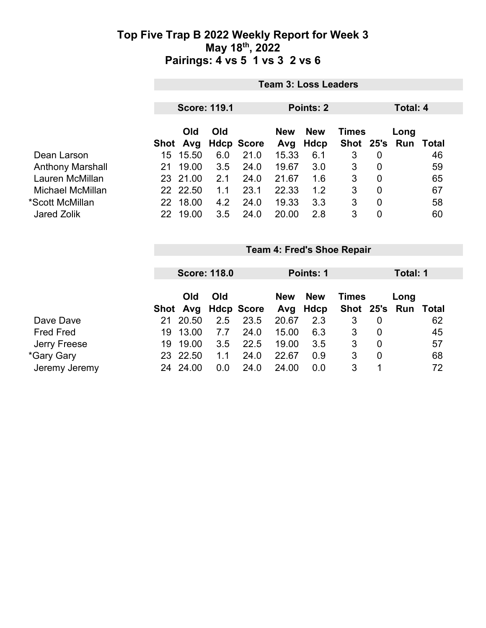|                         | <b>Team 3: Loss Leaders</b> |                        |                     |                   |                   |                    |              |                |                             |    |
|-------------------------|-----------------------------|------------------------|---------------------|-------------------|-------------------|--------------------|--------------|----------------|-----------------------------|----|
|                         |                             |                        | <b>Score: 119.1</b> |                   |                   | Points: 2          |              | Total: 4       |                             |    |
|                         |                             | <b>Old</b><br>Shot Avg | Old                 | <b>Hdcp Score</b> | <b>New</b><br>Avg | <b>New</b><br>Hdcp | <b>Times</b> |                | Long<br>Shot 25's Run Total |    |
| Dean Larson             | 15                          | 15.50                  | 6.0                 | 21.0              | 15.33             | 6.1                | 3            | $\mathbf 0$    |                             | 46 |
| <b>Anthony Marshall</b> | 21                          | 19.00                  | 3.5                 | 24.0              | 19.67             | 3.0                | 3            | $\overline{0}$ |                             | 59 |
| Lauren McMillan         |                             | 23 21.00               | 2.1                 | 24.0              | 21.67             | 1.6                | 3            | $\overline{0}$ |                             | 65 |
| Michael McMillan        |                             | 22 22.50               | 1.1                 | 23.1              | 22.33             | 1.2                | 3            | $\overline{0}$ |                             | 67 |
| *Scott McMillan         | 22                          | 18.00                  | 4.2                 | 24.0              | 19.33             | 3.3                | 3            | $\overline{0}$ |                             | 58 |
| <b>Jared Zolik</b>      | 22                          | 19.00                  | 3.5                 | 24.0              | 20.00             | 2.8                | 3            | 0              |                             | 60 |

|                  |     |            | <b>Score: 118.0</b> |                     |            | Points: 1                  |   |   |                     | Total: 1 |
|------------------|-----|------------|---------------------|---------------------|------------|----------------------------|---|---|---------------------|----------|
|                  |     | Old<br>Old |                     |                     | <b>New</b> | <b>New</b><br><b>Times</b> |   |   | Long                |          |
|                  |     |            |                     | Shot Avg Hdcp Score |            | Avg Hdcp                   |   |   | Shot 25's Run Total |          |
| Dave Dave        | 21  | 20.50      | 2.5                 | 23.5                | 20.67      | 2.3                        | 3 | 0 |                     | 62       |
| <b>Fred Fred</b> | 19. | 13.00      | 7.7                 | 24.0                | 15.00      | 6.3                        | 3 | 0 |                     | 45       |
| Jerry Freese     | 19  | 19.00      | 3.5                 | 22.5                | 19.00      | 3.5                        | 3 | 0 |                     | 57       |
| *Gary Gary       |     | 23 22.50   | 1.1                 | 24.0                | 22.67      | 0.9                        | 3 | 0 |                     | 68       |
| Jeremy Jeremy    | 24  | 24.00      | 0.0                 | 24.0                | 24.00      | 0.0                        | 3 |   |                     | 72       |

**Team 4: Fred's Shoe Repair**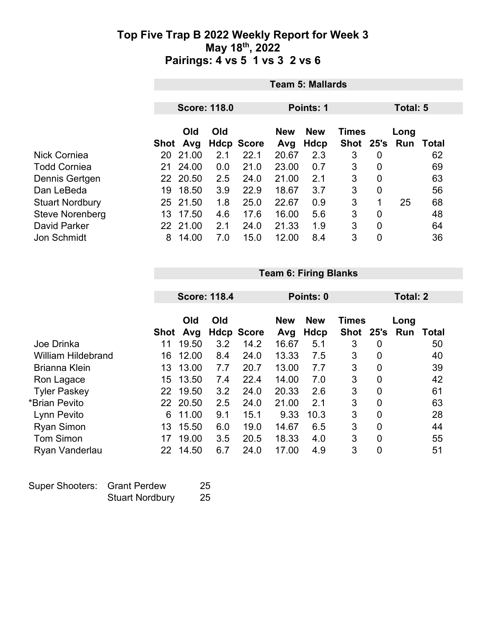|                        | <b>Team 5: Mallards</b> |          |                     |                   |                            |             |      |                |          |                  |  |
|------------------------|-------------------------|----------|---------------------|-------------------|----------------------------|-------------|------|----------------|----------|------------------|--|
|                        |                         |          | <b>Score: 118.0</b> |                   |                            | Points: 1   |      |                | Total: 5 |                  |  |
|                        | Old<br>Old              |          |                     | <b>New</b>        | <b>New</b><br><b>Times</b> |             |      | Long           |          |                  |  |
|                        | Shot                    | Avg      |                     | <b>Hdcp Score</b> | Avg                        | <b>Hdcp</b> | Shot | 25's           |          | <b>Run Total</b> |  |
| Nick Corniea           | 20                      | 21.00    | 2.1                 | 22.1              | 20.67                      | 2.3         | 3    | 0              |          | 62               |  |
| <b>Todd Corniea</b>    | 21                      | 24.00    | 0.0                 | 21.0              | 23.00                      | 0.7         | 3    | 0              |          | 69               |  |
| Dennis Gertgen         |                         | 22 20.50 | 2.5                 | 24.0              | 21.00                      | 2.1         | 3    | $\overline{0}$ |          | 63               |  |
| Dan LeBeda             | 19                      | 18.50    | 3.9                 | 22.9              | 18.67                      | 3.7         | 3    | 0              |          | 56               |  |
| <b>Stuart Nordbury</b> | 25                      | 21.50    | 1.8                 | 25.0              | 22.67                      | 0.9         | 3    | 1              | 25       | 68               |  |
| <b>Steve Norenberg</b> | 13                      | 17.50    | 4.6                 | 17.6              | 16.00                      | 5.6         | 3    | 0              |          | 48               |  |
| <b>David Parker</b>    |                         | 22 21.00 | 2.1                 | 24.0              | 21.33                      | 1.9         | 3    | 0              |          | 64               |  |
| Jon Schmidt            | 8                       | 14.00    | 7.0                 | 15.0              | 12.00                      | 8.4         | 3    | 0              |          | 36               |  |

|                           |             | <b>Team 6: Firing Blanks</b> |                     |                   |                   |                           |                             |             |                 |              |  |
|---------------------------|-------------|------------------------------|---------------------|-------------------|-------------------|---------------------------|-----------------------------|-------------|-----------------|--------------|--|
|                           |             |                              | <b>Score: 118.4</b> |                   | Points: 0         |                           |                             |             | <b>Total: 2</b> |              |  |
|                           | <b>Shot</b> | Old<br>Avg                   | Old                 | <b>Hdcp Score</b> | <b>New</b><br>Avg | <b>New</b><br><b>Hdcp</b> | <b>Times</b><br><b>Shot</b> | 25's        | Long<br>Run     | <b>Total</b> |  |
| Joe Drinka                | 11          | 19.50                        | 3.2                 | 14.2              | 16.67             | 5.1                       | 3                           | 0           |                 | 50           |  |
| <b>William Hildebrand</b> | 16          | 12.00                        | 8.4                 | 24.0              | 13.33             | 7.5                       | 3                           | 0           |                 | 40           |  |
| <b>Brianna Klein</b>      | 13          | 13.00                        | 7.7                 | 20.7              | 13.00             | 7.7                       | 3                           | 0           |                 | 39           |  |
| Ron Lagace                | 15          | 13.50                        | 7.4                 | 22.4              | 14.00             | 7.0                       | 3                           | 0           |                 | 42           |  |
| <b>Tyler Paskey</b>       | 22          | 19.50                        | 3.2                 | 24.0              | 20.33             | 2.6                       | 3                           | 0           |                 | 61           |  |
| *Brian Pevito             | 22          | 20.50                        | 2.5                 | 24.0              | 21.00             | 2.1                       | 3                           | 0           |                 | 63           |  |
| Lynn Pevito               | 6           | 11.00                        | 9.1                 | 15.1              | 9.33              | 10.3                      | 3                           | $\mathbf 0$ |                 | 28           |  |
| <b>Ryan Simon</b>         | 13          | 15.50                        | 6.0                 | 19.0              | 14.67             | 6.5                       | 3                           | 0           |                 | 44           |  |
| <b>Tom Simon</b>          | 17          | 19.00                        | 3.5                 | 20.5              | 18.33             | 4.0                       | 3                           | 0           |                 | 55           |  |
| Ryan Vanderlau            | 22          | 14.50                        | 6.7                 | 24.0              | 17.00             | 4.9                       | 3                           | $\mathbf 0$ |                 | 51           |  |

| Super Shooters: Grant Perdew |                        | -25 |
|------------------------------|------------------------|-----|
|                              | <b>Stuart Nordbury</b> | 25  |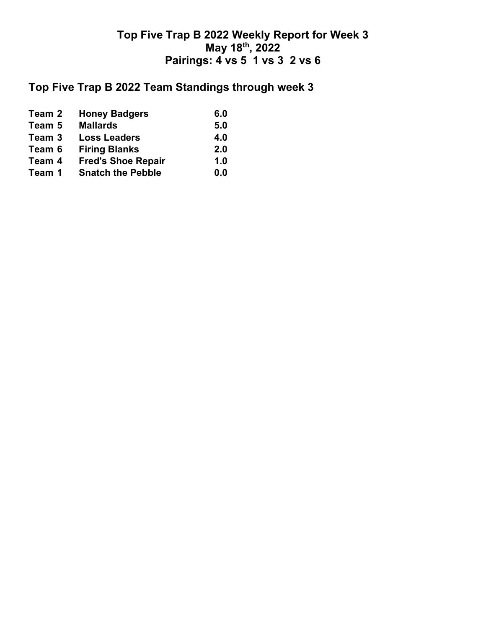# **Top Five Trap B 2022 Team Standings through week 3**

| Team 2 | <b>Honey Badgers</b>      | 6.0 |
|--------|---------------------------|-----|
| Team 5 | <b>Mallards</b>           | 5.0 |
| Team 3 | <b>Loss Leaders</b>       | 4.0 |
| Team 6 | <b>Firing Blanks</b>      | 2.0 |
| Team 4 | <b>Fred's Shoe Repair</b> | 1.0 |
| Team 1 | <b>Snatch the Pebble</b>  | 0.0 |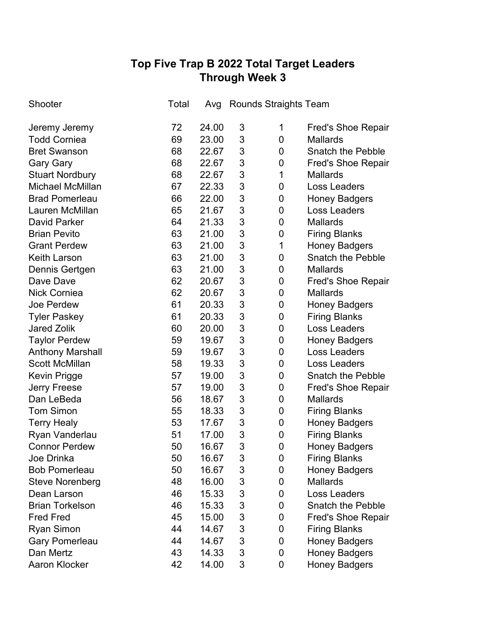# **Top Five Trap B 2022 Total Target Leaders Through Week 3**

| Shooter                 | Total | Avg   | <b>Rounds Straights Team</b> |   |                           |
|-------------------------|-------|-------|------------------------------|---|---------------------------|
| Jeremy Jeremy           | 72    | 24.00 | 3                            | 1 | <b>Fred's Shoe Repair</b> |
| <b>Todd Corniea</b>     | 69    | 23.00 | 3                            | 0 | <b>Mallards</b>           |
| <b>Bret Swanson</b>     | 68    | 22.67 | 3                            | 0 | <b>Snatch the Pebble</b>  |
| <b>Gary Gary</b>        | 68    | 22.67 | 3                            | 0 | <b>Fred's Shoe Repair</b> |
| <b>Stuart Nordbury</b>  | 68    | 22.67 | 3                            | 1 | <b>Mallards</b>           |
| <b>Michael McMillan</b> | 67    | 22.33 | 3                            | 0 | <b>Loss Leaders</b>       |
| <b>Brad Pomerleau</b>   | 66    | 22.00 | 3                            | 0 | <b>Honey Badgers</b>      |
| Lauren McMillan         | 65    | 21.67 | 3                            | 0 | <b>Loss Leaders</b>       |
| <b>David Parker</b>     | 64    | 21.33 | 3                            | 0 | <b>Mallards</b>           |
| <b>Brian Pevito</b>     | 63    | 21.00 | 3                            | 0 | <b>Firing Blanks</b>      |
| <b>Grant Perdew</b>     | 63    | 21.00 | 3                            | 1 | <b>Honey Badgers</b>      |
| <b>Keith Larson</b>     | 63    | 21.00 | 3                            | 0 | <b>Snatch the Pebble</b>  |
| Dennis Gertgen          | 63    | 21.00 | 3                            | 0 | <b>Mallards</b>           |
| Dave Dave               | 62    | 20.67 | 3                            | 0 | <b>Fred's Shoe Repair</b> |
| <b>Nick Corniea</b>     | 62    | 20.67 | 3                            | 0 | <b>Mallards</b>           |
| Joe Perdew              | 61    | 20.33 | 3                            | 0 | <b>Honey Badgers</b>      |
| <b>Tyler Paskey</b>     | 61    | 20.33 | 3                            | 0 | <b>Firing Blanks</b>      |
| <b>Jared Zolik</b>      | 60    | 20.00 | 3                            | 0 | Loss Leaders              |
| <b>Taylor Perdew</b>    | 59    | 19.67 | 3                            | 0 | <b>Honey Badgers</b>      |
| <b>Anthony Marshall</b> | 59    | 19.67 | 3                            | 0 | Loss Leaders              |
| <b>Scott McMillan</b>   | 58    | 19.33 | 3                            | 0 | <b>Loss Leaders</b>       |
| Kevin Prigge            | 57    | 19.00 | 3                            | 0 | <b>Snatch the Pebble</b>  |
| <b>Jerry Freese</b>     | 57    | 19.00 | 3                            | 0 | <b>Fred's Shoe Repair</b> |
| Dan LeBeda              | 56    | 18.67 | 3                            | 0 | <b>Mallards</b>           |
| <b>Tom Simon</b>        | 55    | 18.33 | 3                            | 0 | <b>Firing Blanks</b>      |
| <b>Terry Healy</b>      | 53    | 17.67 | 3                            | 0 | <b>Honey Badgers</b>      |
| Ryan Vanderlau          | 51    | 17.00 | 3                            | 0 | <b>Firing Blanks</b>      |
| <b>Connor Perdew</b>    | 50    | 16.67 | 3                            | 0 | <b>Honey Badgers</b>      |
| Joe Drinka              | 50    | 16.67 | 3                            | 0 | <b>Firing Blanks</b>      |
| <b>Bob Pomerleau</b>    | 50    | 16.67 | 3                            | 0 | <b>Honey Badgers</b>      |
| <b>Steve Norenberg</b>  | 48    | 16.00 | 3                            | 0 | <b>Mallards</b>           |
| Dean Larson             | 46    | 15.33 | 3                            | 0 | <b>Loss Leaders</b>       |
| <b>Brian Torkelson</b>  | 46    | 15.33 | 3                            | 0 | <b>Snatch the Pebble</b>  |
| <b>Fred Fred</b>        | 45    | 15.00 | 3                            | 0 | <b>Fred's Shoe Repair</b> |
| <b>Ryan Simon</b>       | 44    | 14.67 | 3                            | 0 | <b>Firing Blanks</b>      |
| <b>Gary Pomerleau</b>   | 44    | 14.67 | 3                            | 0 | <b>Honey Badgers</b>      |
| Dan Mertz               | 43    | 14.33 | 3                            | 0 | <b>Honey Badgers</b>      |
| Aaron Klocker           | 42    | 14.00 | 3                            | 0 | <b>Honey Badgers</b>      |